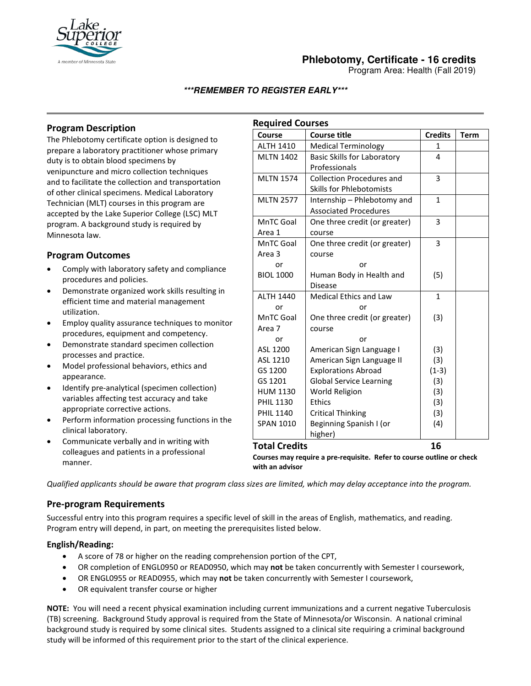

# **Phlebotomy, Certificate - 16 credits**

Program Area: Health (Fall 2019)

### **\*\*\*REMEMBER TO REGISTER EARLY\*\*\***

## **Program Description**

The Phlebotomy certificate option is designed to prepare a laboratory practitioner whose primary duty is to obtain blood specimens by venipuncture and micro collection techniques and to facilitate the collection and transportation of other clinical specimens. Medical Laboratory Technician (MLT) courses in this program are accepted by the Lake Superior College (LSC) MLT program. A background study is required by Minnesota law.

## **Program Outcomes**

- Comply with laboratory safety and compliance procedures and policies.
- Demonstrate organized work skills resulting in efficient time and material management utilization.
- Employ quality assurance techniques to monitor procedures, equipment and competency.
- Demonstrate standard specimen collection processes and practice.
- Model professional behaviors, ethics and appearance.
- Identify pre-analytical (specimen collection) variables affecting test accuracy and take appropriate corrective actions.
- Perform information processing functions in the clinical laboratory.
- Communicate verbally and in writing with colleagues and patients in a professional manner.

| <b>Required Courses</b> |                                    |                |             |
|-------------------------|------------------------------------|----------------|-------------|
| Course                  | <b>Course title</b>                | <b>Credits</b> | <b>Term</b> |
| <b>ALTH 1410</b>        | <b>Medical Terminology</b>         | $\mathbf{1}$   |             |
| <b>MLTN 1402</b>        | <b>Basic Skills for Laboratory</b> | 4              |             |
|                         | Professionals                      |                |             |
| <b>MLTN 1574</b>        | <b>Collection Procedures and</b>   | 3              |             |
|                         | <b>Skills for Phlebotomists</b>    |                |             |
| <b>MLTN 2577</b>        | Internship - Phlebotomy and        | $\mathbf{1}$   |             |
|                         | <b>Associated Procedures</b>       |                |             |
| MnTC Goal               | One three credit (or greater)      | 3              |             |
| Area 1                  | course                             |                |             |
| MnTC Goal               | One three credit (or greater)      | 3              |             |
| Area 3                  | course                             |                |             |
| or                      | or                                 |                |             |
| <b>BIOL 1000</b>        | Human Body in Health and           | (5)            |             |
|                         | <b>Disease</b>                     |                |             |
| <b>ALTH 1440</b>        | <b>Medical Ethics and Law</b>      | 1              |             |
| or                      | or                                 |                |             |
| MnTC Goal               | One three credit (or greater)      | (3)            |             |
| Area 7                  | course                             |                |             |
| or                      | or                                 |                |             |
| ASL 1200                | American Sign Language I           | (3)            |             |
| ASL 1210                | American Sign Language II          | (3)            |             |
| GS 1200                 | <b>Explorations Abroad</b>         | $(1-3)$        |             |
| GS 1201                 | <b>Global Service Learning</b>     | (3)            |             |
| <b>HUM 1130</b>         | World Religion                     | (3)            |             |
| <b>PHIL 1130</b>        | <b>Ethics</b>                      | (3)            |             |
| <b>PHIL 1140</b>        | <b>Critical Thinking</b>           | (3)            |             |
| <b>SPAN 1010</b>        | Beginning Spanish I (or            | (4)            |             |
|                         | higher)                            |                |             |
| <b>Total Credits</b>    |                                    | 16             |             |

**Courses may require a pre-requisite. Refer to course outline or check with an advisor** 

*Qualified applicants should be aware that program class sizes are limited, which may delay acceptance into the program.*

#### **Pre-program Requirements**

Successful entry into this program requires a specific level of skill in the areas of English, mathematics, and reading. Program entry will depend, in part, on meeting the prerequisites listed below.

#### **English/Reading:**

- A score of 78 or higher on the reading comprehension portion of the CPT,
- OR completion of ENGL0950 or READ0950, which may **not** be taken concurrently with Semester I coursework,
- OR ENGL0955 or READ0955, which may **not** be taken concurrently with Semester I coursework,
- OR equivalent transfer course or higher

**NOTE:** You will need a recent physical examination including current immunizations and a current negative Tuberculosis (TB) screening. Background Study approval is required from the State of Minnesota/or Wisconsin. A national criminal background study is required by some clinical sites. Students assigned to a clinical site requiring a criminal background study will be informed of this requirement prior to the start of the clinical experience.